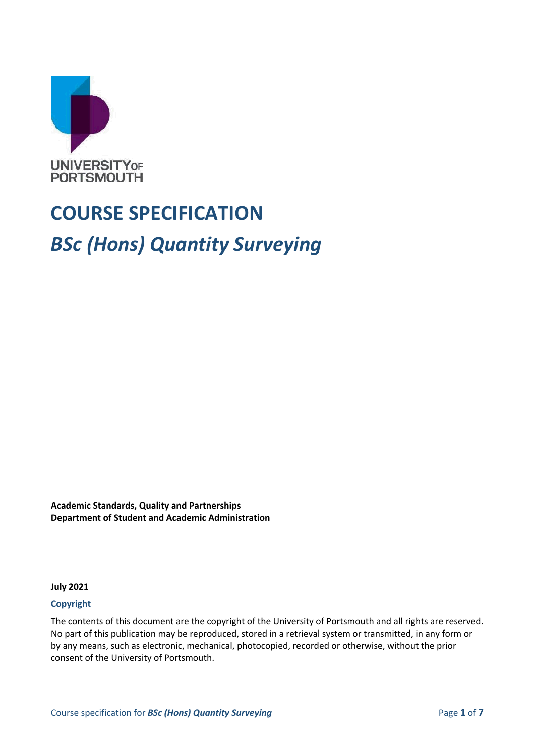

# **COURSE SPECIFICATION** *BSc (Hons) Quantity Surveying*

**Academic Standards, Quality and Partnerships Department of Student and Academic Administration**

**July 2021**

#### **Copyright**

The contents of this document are the copyright of the University of Portsmouth and all rights are reserved. No part of this publication may be reproduced, stored in a retrieval system or transmitted, in any form or by any means, such as electronic, mechanical, photocopied, recorded or otherwise, without the prior consent of the University of Portsmouth.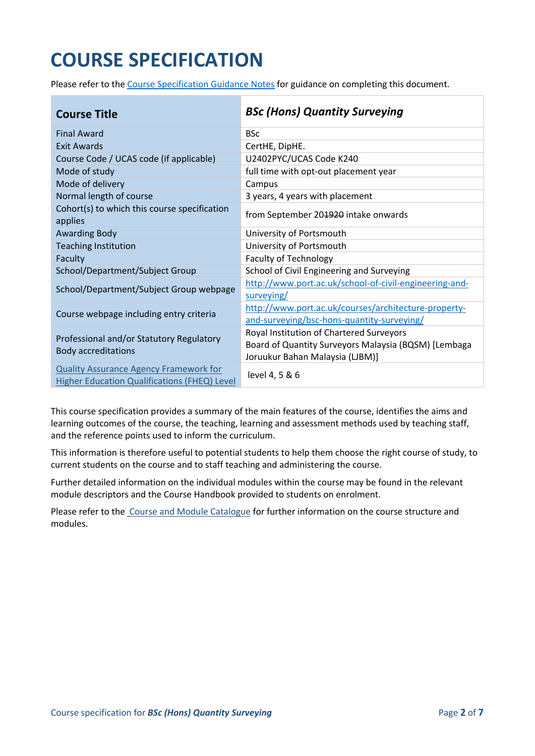## **COURSE SPECIFICATION**

Please refer to the [Course Specification Guidance Notes](http://www.port.ac.uk/departments/services/academicregistry/qmd/curriculum-framework-2019-20/filetodownload,201767,en.docx) for guidance on completing this document.

| <b>Course Title</b>                                                                           | <b>BSc (Hons) Quantity Surveying</b>                                                                                                |
|-----------------------------------------------------------------------------------------------|-------------------------------------------------------------------------------------------------------------------------------------|
| <b>Final Award</b>                                                                            | <b>BSc</b>                                                                                                                          |
| Exit Awards                                                                                   | CertHE, DipHE.                                                                                                                      |
| Course Code / UCAS code (if applicable)                                                       | U2402PYC/UCAS Code K240                                                                                                             |
| Mode of study                                                                                 | full time with opt-out placement year                                                                                               |
| Mode of delivery                                                                              | Campus                                                                                                                              |
| Normal length of course                                                                       | 3 years, 4 years with placement                                                                                                     |
| Cohort(s) to which this course specification<br>applies                                       | from September 201920 intake onwards                                                                                                |
| <b>Awarding Body</b>                                                                          | University of Portsmouth                                                                                                            |
| <b>Teaching Institution</b>                                                                   | University of Portsmouth                                                                                                            |
| Faculty                                                                                       | <b>Faculty of Technology</b>                                                                                                        |
| School/Department/Subject Group                                                               | School of Civil Engineering and Surveying                                                                                           |
| School/Department/Subject Group webpage                                                       | http://www.port.ac.uk/school-of-civil-engineering-and-<br>surveying/                                                                |
| Course webpage including entry criteria                                                       | http://www.port.ac.uk/courses/architecture-property-<br>and-surveying/bsc-hons-quantity-surveying/                                  |
| Professional and/or Statutory Regulatory<br><b>Body accreditations</b>                        | Royal Institution of Chartered Surveyors<br>Board of Quantity Surveyors Malaysia (BQSM) [Lembaga<br>Joruukur Bahan Malaysia (LJBM)] |
| <b>Quality Assurance Agency Framework for</b><br>Higher Education Qualifications (FHEQ) Level | level 4, 5 & 6                                                                                                                      |

This course specification provides a summary of the main features of the course, identifies the aims and learning outcomes of the course, the teaching, learning and assessment methods used by teaching staff, and the reference points used to inform the curriculum.

This information is therefore useful to potential students to help them choose the right course of study, to current students on the course and to staff teaching and administering the course.

Further detailed information on the individual modules within the course may be found in the relevant module descriptors and the Course Handbook provided to students on enrolment.

Please refer to the [Course and Module Catalogue](https://course-module-catalog.port.ac.uk/#/welcome) for further information on the course structure and modules.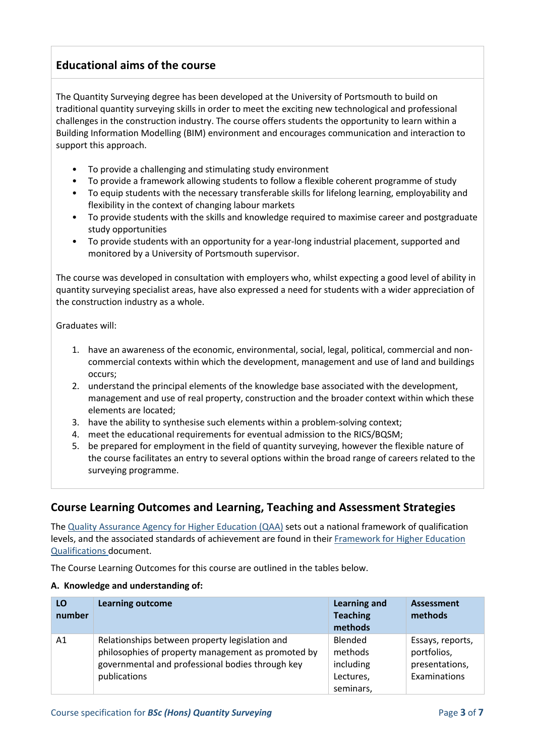## **Educational aims of the course**

The Quantity Surveying degree has been developed at the University of Portsmouth to build on traditional quantity surveying skills in order to meet the exciting new technological and professional challenges in the construction industry. The course offers students the opportunity to learn within a Building Information Modelling (BIM) environment and encourages communication and interaction to support this approach.

- To provide a challenging and stimulating study environment
- To provide a framework allowing students to follow a flexible coherent programme of study
- To equip students with the necessary transferable skills for lifelong learning, employability and flexibility in the context of changing labour markets
- To provide students with the skills and knowledge required to maximise career and postgraduate study opportunities
- To provide students with an opportunity for a year-long industrial placement, supported and monitored by a University of Portsmouth supervisor.

The course was developed in consultation with employers who, whilst expecting a good level of ability in quantity surveying specialist areas, have also expressed a need for students with a wider appreciation of the construction industry as a whole.

Graduates will:

- 1. have an awareness of the economic, environmental, social, legal, political, commercial and noncommercial contexts within which the development, management and use of land and buildings occurs;
- 2. understand the principal elements of the knowledge base associated with the development, management and use of real property, construction and the broader context within which these elements are located;
- 3. have the ability to synthesise such elements within a problem-solving context;
- 4. meet the educational requirements for eventual admission to the RICS/BQSM;
- 5. be prepared for employment in the field of quantity surveying, however the flexible nature of the course facilitates an entry to several options within the broad range of careers related to the surveying programme.

## **Course Learning Outcomes and Learning, Teaching and Assessment Strategies**

The [Quality Assurance Agency for Higher Education \(QAA\)](http://www.qaa.ac.uk/en) sets out a national framework of qualification levels, and the associated standards of achievement are found in their [Framework for Higher Education](http://www.qaa.ac.uk/en/Publications/Documents/qualifications-frameworks.pdf)  [Qualifications](http://www.qaa.ac.uk/en/Publications/Documents/qualifications-frameworks.pdf) document.

The Course Learning Outcomes for this course are outlined in the tables below.

#### **A. Knowledge and understanding of:**

| LO<br>number | <b>Learning outcome</b>                                                                                                                                                  | <b>Learning and</b><br><b>Teaching</b><br>methods         | <b>Assessment</b><br>methods                                      |
|--------------|--------------------------------------------------------------------------------------------------------------------------------------------------------------------------|-----------------------------------------------------------|-------------------------------------------------------------------|
| A1           | Relationships between property legislation and<br>philosophies of property management as promoted by<br>governmental and professional bodies through key<br>publications | Blended<br>methods<br>including<br>Lectures,<br>seminars, | Essays, reports,<br>portfolios,<br>presentations,<br>Examinations |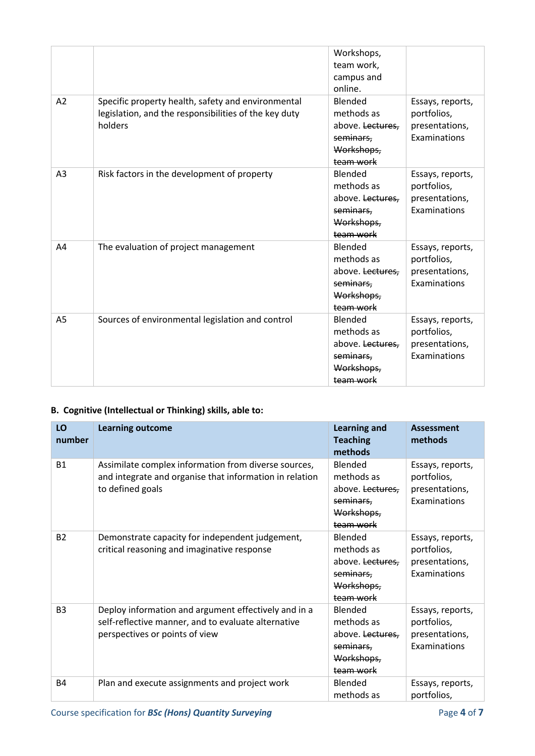|    |                                                                                                                        | Workshops,<br>team work,<br>campus and<br>online.                                 |                                                                   |
|----|------------------------------------------------------------------------------------------------------------------------|-----------------------------------------------------------------------------------|-------------------------------------------------------------------|
| A2 | Specific property health, safety and environmental<br>legislation, and the responsibilities of the key duty<br>holders | Blended<br>methods as<br>above. Lectures,<br>seminars,<br>Workshops,<br>team work | Essays, reports,<br>portfolios,<br>presentations,<br>Examinations |
| A3 | Risk factors in the development of property                                                                            | Blended<br>methods as<br>above. Lectures,<br>seminars,<br>Workshops,<br>team work | Essays, reports,<br>portfolios,<br>presentations,<br>Examinations |
| A4 | The evaluation of project management                                                                                   | Blended<br>methods as<br>above. Lectures,<br>seminars.<br>Workshops,<br>team work | Essays, reports,<br>portfolios,<br>presentations,<br>Examinations |
| A5 | Sources of environmental legislation and control                                                                       | Blended<br>methods as<br>above. Lectures,<br>seminars.<br>Workshops,<br>team work | Essays, reports,<br>portfolios,<br>presentations,<br>Examinations |

## **B. Cognitive (Intellectual or Thinking) skills, able to:**

| LO<br>number   | <b>Learning outcome</b>                                                                                                                       | <b>Learning and</b><br><b>Teaching</b><br>methods                                 | <b>Assessment</b><br>methods                                      |
|----------------|-----------------------------------------------------------------------------------------------------------------------------------------------|-----------------------------------------------------------------------------------|-------------------------------------------------------------------|
| <b>B1</b>      | Assimilate complex information from diverse sources,<br>and integrate and organise that information in relation<br>to defined goals           | Blended<br>methods as<br>above. Lectures,<br>seminars,<br>Workshops,<br>team work | Essays, reports,<br>portfolios,<br>presentations,<br>Examinations |
| <b>B2</b>      | Demonstrate capacity for independent judgement,<br>critical reasoning and imaginative response                                                | Blended<br>methods as<br>above. Lectures,<br>seminars,<br>Workshops,<br>team work | Essays, reports,<br>portfolios,<br>presentations,<br>Examinations |
| B <sub>3</sub> | Deploy information and argument effectively and in a<br>self-reflective manner, and to evaluate alternative<br>perspectives or points of view | Blended<br>methods as<br>above. Lectures,<br>seminars,<br>Workshops,<br>team work | Essays, reports,<br>portfolios,<br>presentations,<br>Examinations |
| <b>B4</b>      | Plan and execute assignments and project work                                                                                                 | Blended<br>methods as                                                             | Essays, reports,<br>portfolios,                                   |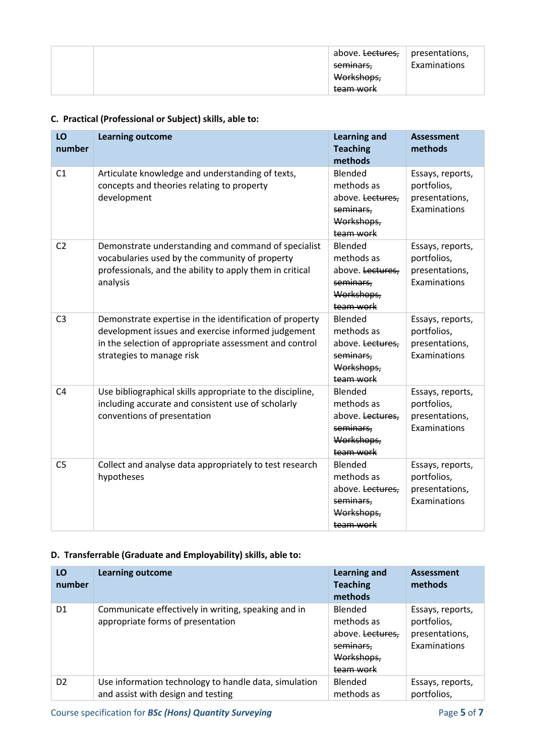|  | above. <del>Lectures,</del> I<br><del>seminars,</del><br>Workshops,<br><del>team work</del> | $\vert$ presentations,<br>Examinations |
|--|---------------------------------------------------------------------------------------------|----------------------------------------|
|--|---------------------------------------------------------------------------------------------|----------------------------------------|

## **C. Practical (Professional or Subject) skills, able to:**

| LO<br>number   | <b>Learning outcome</b>                                                                                                                                                                              | <b>Learning and</b><br><b>Teaching</b><br>methods                                 | <b>Assessment</b><br>methods                                      |
|----------------|------------------------------------------------------------------------------------------------------------------------------------------------------------------------------------------------------|-----------------------------------------------------------------------------------|-------------------------------------------------------------------|
| C1             | Articulate knowledge and understanding of texts,<br>concepts and theories relating to property<br>development                                                                                        | Blended<br>methods as<br>above. Lectures,<br>seminars,<br>Workshops,<br>team work | Essays, reports,<br>portfolios,<br>presentations,<br>Examinations |
| C <sub>2</sub> | Demonstrate understanding and command of specialist<br>vocabularies used by the community of property<br>professionals, and the ability to apply them in critical<br>analysis                        | Blended<br>methods as<br>above. Lectures,<br>seminars,<br>Workshops,<br>team work | Essays, reports,<br>portfolios,<br>presentations,<br>Examinations |
| C <sub>3</sub> | Demonstrate expertise in the identification of property<br>development issues and exercise informed judgement<br>in the selection of appropriate assessment and control<br>strategies to manage risk | Blended<br>methods as<br>above. Lectures,<br>seminars,<br>Workshops,<br>team work | Essays, reports,<br>portfolios,<br>presentations,<br>Examinations |
| C <sub>4</sub> | Use bibliographical skills appropriate to the discipline,<br>including accurate and consistent use of scholarly<br>conventions of presentation                                                       | Blended<br>methods as<br>above. Lectures,<br>seminars,<br>Workshops,<br>team work | Essays, reports,<br>portfolios,<br>presentations,<br>Examinations |
| C <sub>5</sub> | Collect and analyse data appropriately to test research<br>hypotheses                                                                                                                                | Blended<br>methods as<br>above. Lectures,<br>seminars,<br>Workshops,<br>team work | Essays, reports,<br>portfolios,<br>presentations,<br>Examinations |

#### **D. Transferrable (Graduate and Employability) skills, able to:**

| LO<br>number   | <b>Learning outcome</b>                                                                     | <b>Learning and</b><br><b>Teaching</b><br>methods                                                   | Assessment<br>methods                                             |
|----------------|---------------------------------------------------------------------------------------------|-----------------------------------------------------------------------------------------------------|-------------------------------------------------------------------|
| D <sub>1</sub> | Communicate effectively in writing, speaking and in<br>appropriate forms of presentation    | <b>Blended</b><br>methods as<br>above. Lectures.<br>seminars,<br>Workshops,<br><del>team work</del> | Essays, reports,<br>portfolios,<br>presentations,<br>Examinations |
| D <sub>2</sub> | Use information technology to handle data, simulation<br>and assist with design and testing | Blended<br>methods as                                                                               | Essays, reports,<br>portfolios,                                   |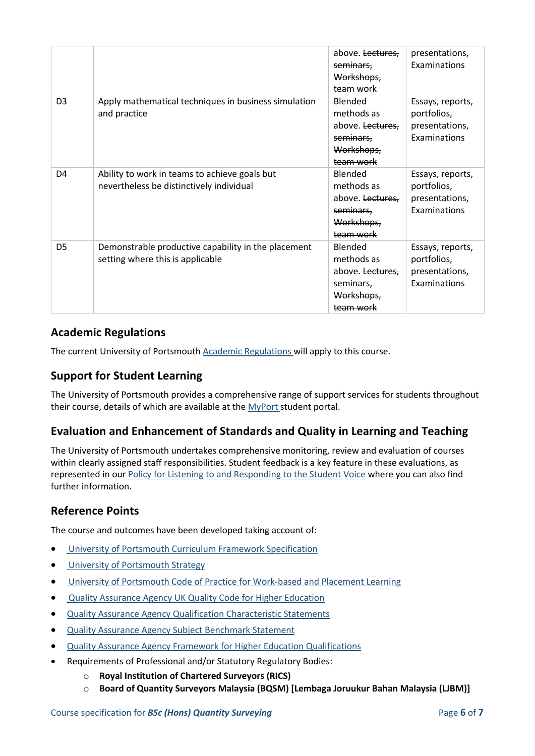|                |                                                                                           | above. Lectures,<br>seminars,<br>Workshops,<br>team work                                     | presentations,<br>Examinations                                    |
|----------------|-------------------------------------------------------------------------------------------|----------------------------------------------------------------------------------------------|-------------------------------------------------------------------|
| D <sub>3</sub> | Apply mathematical techniques in business simulation<br>and practice                      | Blended<br>methods as<br>above. Lectures,<br>seminars.<br>Workshops,<br>team work            | Essays, reports,<br>portfolios,<br>presentations,<br>Examinations |
| D <sub>4</sub> | Ability to work in teams to achieve goals but<br>nevertheless be distinctively individual | Blended<br>methods as<br>above. Lectures,<br>seminars.<br>Workshops,<br>team work            | Essays, reports,<br>portfolios,<br>presentations,<br>Examinations |
| D <sub>5</sub> | Demonstrable productive capability in the placement<br>setting where this is applicable   | Blended<br>methods as<br>above. <del>Lectures,</del><br>seminars,<br>Workshops,<br>team work | Essays, reports,<br>portfolios,<br>presentations,<br>Examinations |

## **Academic Regulations**

The current University of Portsmouth [Academic Regulations](http://www.port.ac.uk/departments/services/academicregistry/qmd/assessmentandregulations/) will apply to this course.

## **Support for Student Learning**

The University of Portsmouth provides a comprehensive range of support services for students throughout their course, details of which are available at the [MyPort](http://myport.ac.uk/) student portal.

## **Evaluation and Enhancement of Standards and Quality in Learning and Teaching**

The University of Portsmouth undertakes comprehensive monitoring, review and evaluation of courses within clearly assigned staff responsibilities. Student feedback is a key feature in these evaluations, as represented in our [Policy for Listening to and Responding to the Student Voice](http://policies.docstore.port.ac.uk/policy-069.pdf) where you can also find further information.

## **Reference Points**

The course and outcomes have been developed taking account of:

- [University of Portsmouth Curriculum Framework Specification](http://policies.docstore.port.ac.uk/policy-217.pdf?_ga=2.262170252.1863271531.1625471462-353504235.1613498042)
- **•** [University of Portsmouth Strategy](https://www.port.ac.uk/about-us/our-ambition/our-strategy)
- [University of Portsmouth Code of Practice for Work-based and Placement Learning](http://policies.docstore.port.ac.uk/policy-151.pdf)
- [Quality Assurance Agency UK Quality Code for Higher Education](https://www.qaa.ac.uk/quality-code)
- [Quality Assurance Agency Qualification Characteristic Statements](https://www.qaa.ac.uk/quality-code/characteristics-statements)
- [Quality Assurance Agency Subject Benchmark Statement](https://www.qaa.ac.uk/quality-code/subject-benchmark-statements)
- [Quality Assurance Agency Framework for Higher Education Qualifications](https://www.qaa.ac.uk/quality-code/qualifications-frameworks)
- Requirements of Professional and/or Statutory Regulatory Bodies:
	- o **Royal Institution of Chartered Surveyors (RICS)**
	- o **Board of Quantity Surveyors Malaysia (BQSM) [Lembaga Joruukur Bahan Malaysia (LJBM)]**